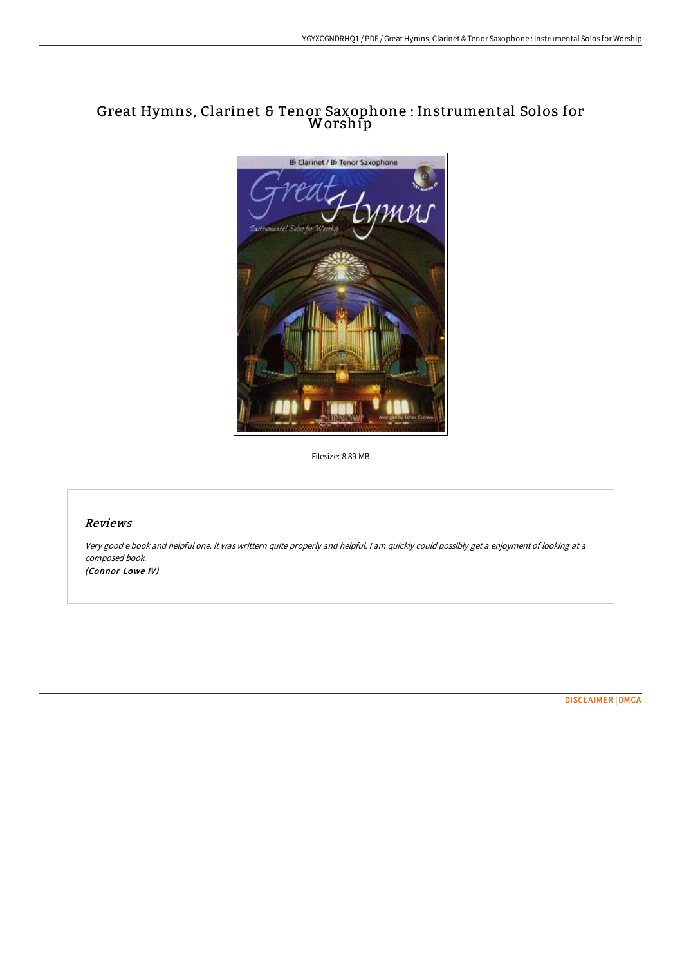# Great Hymns, Clarinet & Tenor Saxophone : Instrumental Solos for Worship



Filesize: 8.89 MB

# Reviews

Very good <sup>e</sup> book and helpful one. it was writtern quite properly and helpful. <sup>I</sup> am quickly could possibly get <sup>a</sup> enjoyment of looking at <sup>a</sup> composed book. (Connor Lowe IV)

[DISCLAIMER](http://techno-pub.tech/disclaimer.html) | [DMCA](http://techno-pub.tech/dmca.html)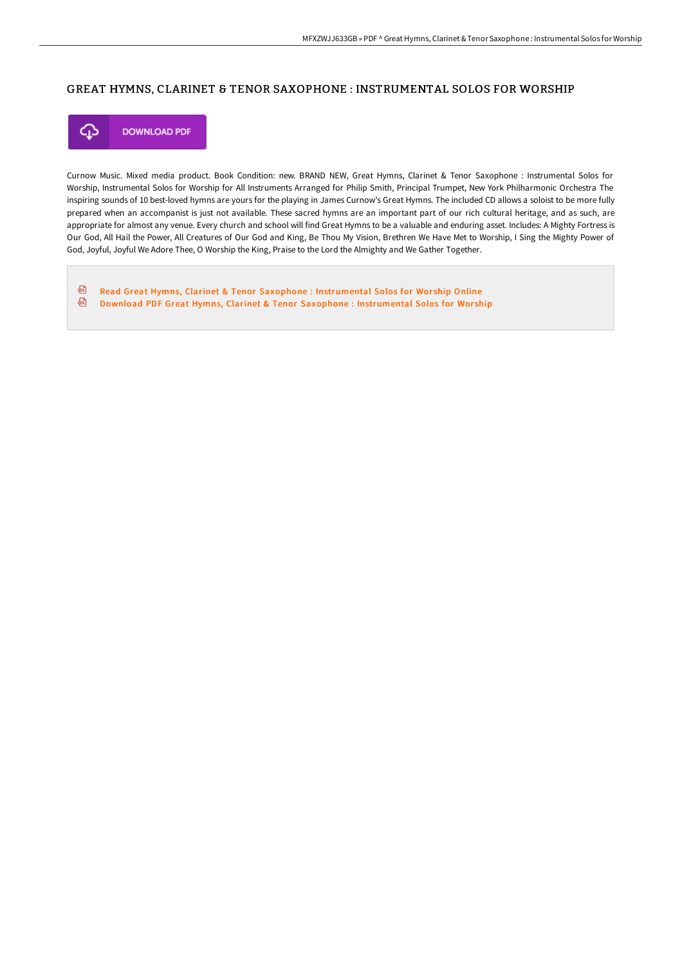## GREAT HYMNS, CLARINET & TENOR SAXOPHONE : INSTRUMENTAL SOLOS FOR WORSHIP



Curnow Music. Mixed media product. Book Condition: new. BRAND NEW, Great Hymns, Clarinet & Tenor Saxophone : Instrumental Solos for Worship, Instrumental Solos for Worship for All Instruments Arranged for Philip Smith, Principal Trumpet, New York Philharmonic Orchestra The inspiring sounds of 10 best-loved hymns are yours for the playing in James Curnow's Great Hymns. The included CD allows a soloist to be more fully prepared when an accompanist is just not available. These sacred hymns are an important part of our rich cultural heritage, and as such, are appropriate for almost any venue. Every church and school will find Great Hymns to be a valuable and enduring asset. Includes: A Mighty Fortress is Our God, All Hail the Power, All Creatures of Our God and King, Be Thou My Vision, Brethren We Have Met to Worship, I Sing the Mighty Power of God, Joyful, Joyful We Adore Thee, O Worship the King, Praise to the Lord the Almighty and We Gather Together.

 $\color{red} \textcolor{red} \textcolor{blue}{\textbf{a}}$ Read Great Hymns, Clarinet & Tenor Saxophone : [Instrumental](http://techno-pub.tech/great-hymns-clarinet-amp-tenor-saxophone-instrum.html) Solos for Worship Online ⊕ Download PDF Great Hymns, Clarinet & Tenor Saxophone : [Instrumental](http://techno-pub.tech/great-hymns-clarinet-amp-tenor-saxophone-instrum.html) Solos for Worship